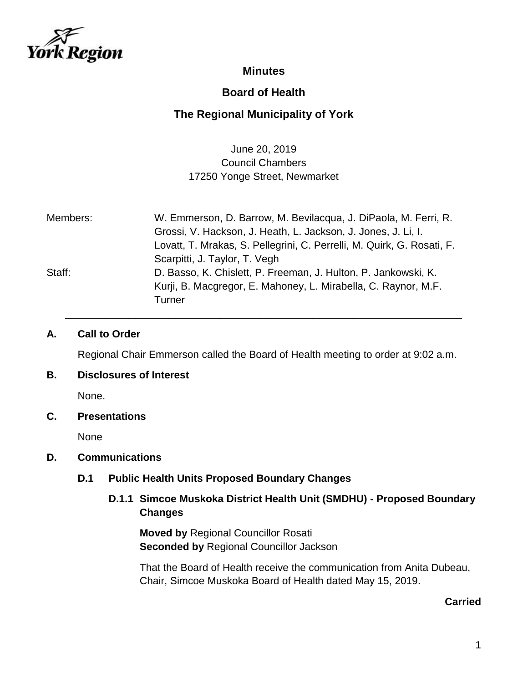

## **Minutes**

# **Board of Health**

# **The Regional Municipality of York**

June 20, 2019 Council Chambers 17250 Yonge Street, Newmarket

| Members: | W. Emmerson, D. Barrow, M. Bevilacqua, J. DiPaola, M. Ferri, R.        |
|----------|------------------------------------------------------------------------|
|          | Grossi, V. Hackson, J. Heath, L. Jackson, J. Jones, J. Li, I.          |
|          | Lovatt, T. Mrakas, S. Pellegrini, C. Perrelli, M. Quirk, G. Rosati, F. |
|          | Scarpitti, J. Taylor, T. Vegh                                          |
| Staff:   | D. Basso, K. Chislett, P. Freeman, J. Hulton, P. Jankowski, K.         |
|          | Kurji, B. Macgregor, E. Mahoney, L. Mirabella, C. Raynor, M.F.         |
|          | Turner                                                                 |

#### **A. Call to Order**

Regional Chair Emmerson called the Board of Health meeting to order at 9:02 a.m.

\_\_\_\_\_\_\_\_\_\_\_\_\_\_\_\_\_\_\_\_\_\_\_\_\_\_\_\_\_\_\_\_\_\_\_\_\_\_\_\_\_\_\_\_\_\_\_\_\_\_\_\_\_\_\_\_\_\_\_\_\_\_\_\_\_\_\_\_\_

#### **B. Disclosures of Interest**

None.

#### **C. Presentations**

None

#### **D. Communications**

#### **D.1 Public Health Units Proposed Boundary Changes**

### **D.1.1 Simcoe Muskoka District Health Unit (SMDHU) - Proposed Boundary Changes**

**Moved by** Regional Councillor Rosati **Seconded by** Regional Councillor Jackson

That the Board of Health receive the communication from Anita Dubeau, Chair, Simcoe Muskoka Board of Health dated May 15, 2019.

#### **Carried**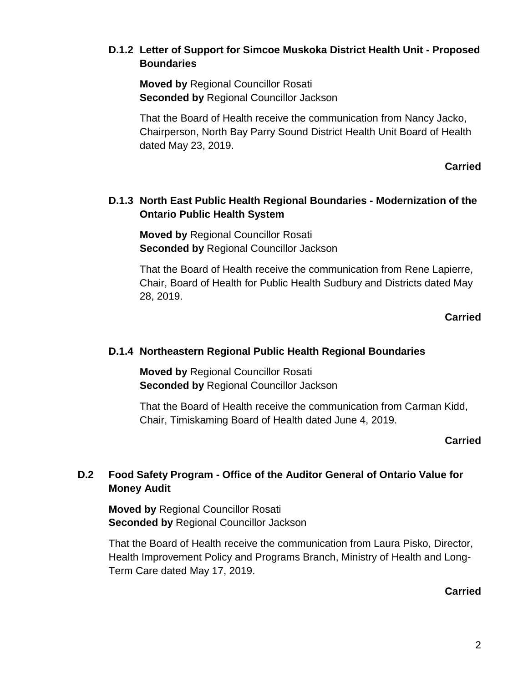### **D.1.2 Letter of Support for Simcoe Muskoka District Health Unit - Proposed Boundaries**

**Moved by** Regional Councillor Rosati **Seconded by** Regional Councillor Jackson

That the Board of Health receive the communication from Nancy Jacko, Chairperson, North Bay Parry Sound District Health Unit Board of Health dated May 23, 2019.

**Carried**

## **D.1.3 North East Public Health Regional Boundaries - Modernization of the Ontario Public Health System**

**Moved by** Regional Councillor Rosati **Seconded by** Regional Councillor Jackson

That the Board of Health receive the communication from Rene Lapierre, Chair, Board of Health for Public Health Sudbury and Districts dated May 28, 2019.

### **Carried**

### **D.1.4 Northeastern Regional Public Health Regional Boundaries**

**Moved by** Regional Councillor Rosati **Seconded by** Regional Councillor Jackson

That the Board of Health receive the communication from Carman Kidd, Chair, Timiskaming Board of Health dated June 4, 2019.

### **Carried**

# **D.2 Food Safety Program - Office of the Auditor General of Ontario Value for Money Audit**

**Moved by** Regional Councillor Rosati **Seconded by** Regional Councillor Jackson

That the Board of Health receive the communication from Laura Pisko, Director, Health Improvement Policy and Programs Branch, Ministry of Health and Long-Term Care dated May 17, 2019.

#### **Carried**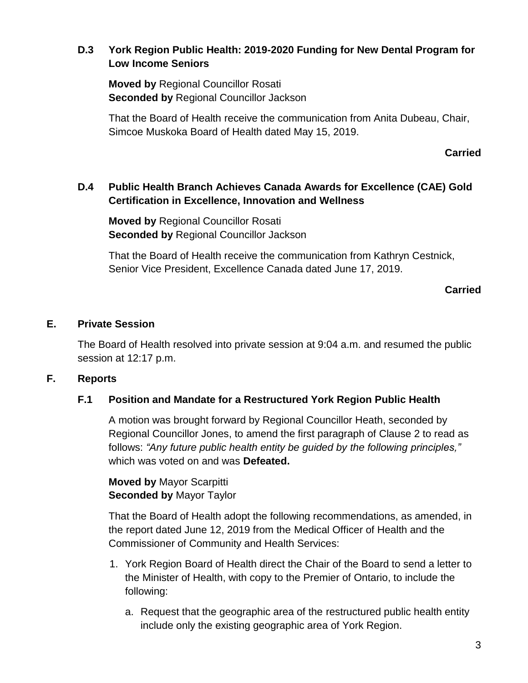## **D.3 York Region Public Health: 2019-2020 Funding for New Dental Program for Low Income Seniors**

**Moved by** Regional Councillor Rosati **Seconded by** Regional Councillor Jackson

That the Board of Health receive the communication from Anita Dubeau, Chair, Simcoe Muskoka Board of Health dated May 15, 2019.

### **Carried**

## **D.4 Public Health Branch Achieves Canada Awards for Excellence (CAE) Gold Certification in Excellence, Innovation and Wellness**

**Moved by** Regional Councillor Rosati **Seconded by** Regional Councillor Jackson

That the Board of Health receive the communication from Kathryn Cestnick, Senior Vice President, Excellence Canada dated June 17, 2019.

### **Carried**

### **E. Private Session**

The Board of Health resolved into private session at 9:04 a.m. and resumed the public session at 12:17 p.m.

### **F. Reports**

### **F.1 Position and Mandate for a Restructured York Region Public Health**

A motion was brought forward by Regional Councillor Heath, seconded by Regional Councillor Jones, to amend the first paragraph of Clause 2 to read as follows: *"Any future public health entity be guided by the following principles,"* which was voted on and was **Defeated.**

**Moved by** Mayor Scarpitti **Seconded by** Mayor Taylor

That the Board of Health adopt the following recommendations, as amended, in the report dated June 12, 2019 from the Medical Officer of Health and the Commissioner of Community and Health Services:

- 1. York Region Board of Health direct the Chair of the Board to send a letter to the Minister of Health, with copy to the Premier of Ontario, to include the following:
	- a. Request that the geographic area of the restructured public health entity include only the existing geographic area of York Region.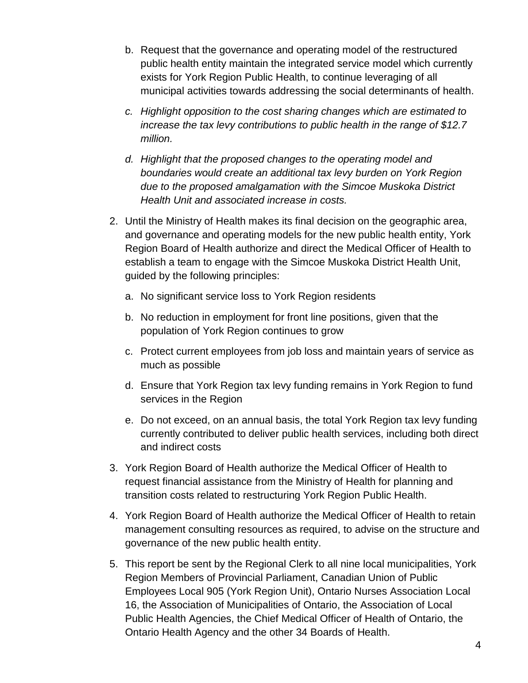- b. Request that the governance and operating model of the restructured public health entity maintain the integrated service model which currently exists for York Region Public Health, to continue leveraging of all municipal activities towards addressing the social determinants of health.
- *c. Highlight opposition to the cost sharing changes which are estimated to increase the tax levy contributions to public health in the range of \$12.7 million.*
- *d. Highlight that the proposed changes to the operating model and boundaries would create an additional tax levy burden on York Region due to the proposed amalgamation with the Simcoe Muskoka District Health Unit and associated increase in costs.*
- 2. Until the Ministry of Health makes its final decision on the geographic area, and governance and operating models for the new public health entity, York Region Board of Health authorize and direct the Medical Officer of Health to establish a team to engage with the Simcoe Muskoka District Health Unit, guided by the following principles:
	- a. No significant service loss to York Region residents
	- b. No reduction in employment for front line positions, given that the population of York Region continues to grow
	- c. Protect current employees from job loss and maintain years of service as much as possible
	- d. Ensure that York Region tax levy funding remains in York Region to fund services in the Region
	- e. Do not exceed, on an annual basis, the total York Region tax levy funding currently contributed to deliver public health services, including both direct and indirect costs
- 3. York Region Board of Health authorize the Medical Officer of Health to request financial assistance from the Ministry of Health for planning and transition costs related to restructuring York Region Public Health.
- 4. York Region Board of Health authorize the Medical Officer of Health to retain management consulting resources as required, to advise on the structure and governance of the new public health entity.
- 5. This report be sent by the Regional Clerk to all nine local municipalities, York Region Members of Provincial Parliament, Canadian Union of Public Employees Local 905 (York Region Unit), Ontario Nurses Association Local 16, the Association of Municipalities of Ontario, the Association of Local Public Health Agencies, the Chief Medical Officer of Health of Ontario, the Ontario Health Agency and the other 34 Boards of Health.